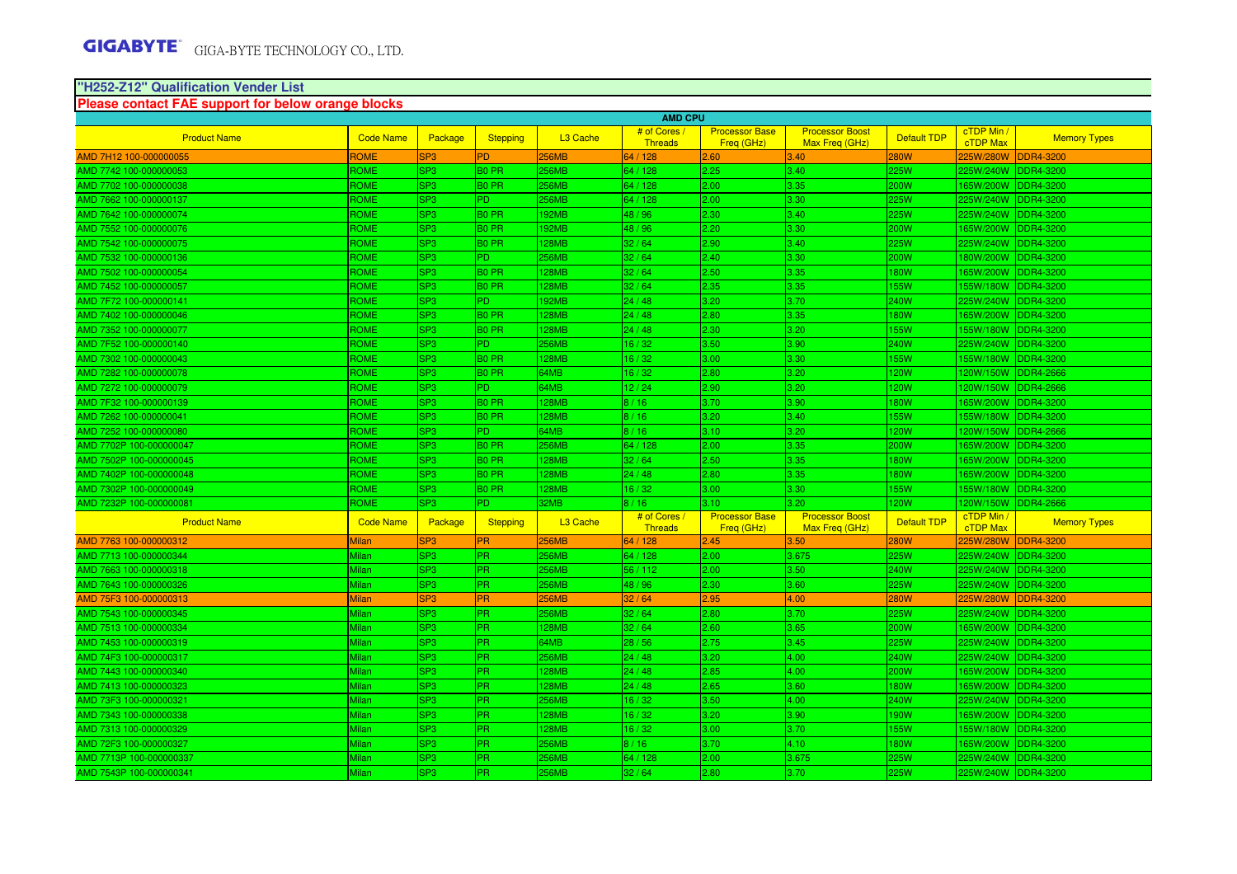# **"H252-Z12" Qualification Vender List Please contact FAE support for below orange blocks**

| <b>AMD CPU</b>          |                  |                 |                   |                      |                                |                                     |                                          |                    |                        |                     |
|-------------------------|------------------|-----------------|-------------------|----------------------|--------------------------------|-------------------------------------|------------------------------------------|--------------------|------------------------|---------------------|
| <b>Product Name</b>     | <b>Code Name</b> | Package         | <b>Stepping</b>   | L <sub>3</sub> Cache | # of Cores<br><b>Threads</b>   | <b>Processor Base</b><br>Freq (GHz) | <b>Processor Boost</b><br>Max Freq (GHz) | Default TDP        | cTDP Min /<br>cTDP Max | <b>Memory Types</b> |
| AMD 7H12 100-000000055  | ROME             | SP <sub>3</sub> | <b>PD</b>         | <b>56MB</b>          | 64 / 128                       | 2.60                                | 3.40                                     | 280W               | 225W/280W              | DDR4-3200           |
| AMD 7742 100-000000053  | ROME             | SP <sub>3</sub> | <b>BO PR</b>      | 256MB                | 64 / 128                       | 2.25                                | 3.40                                     | 225W               | 225W/240W              | DDR4-3200           |
| AMD 7702 100-000000038  | <b>ROME</b>      | SP <sub>3</sub> | <b>BO PR</b>      | 256MB                | 64 / 128                       | 2.00                                | 3.35                                     | 200W               | 165W/200W              | DDR4-3200           |
| AMD 7662 100-000000137  | ROME             | SP <sub>3</sub> | P <sub>D</sub>    | 256MB                | 64 / 128                       | 2.00                                | 3.30                                     | 225W               | 225W/240W              | <b>DDR4-3200</b>    |
| AMD 7642 100-000000074  | ROME             | SP <sub>3</sub> | <b>BO PR</b>      | 192MB                | 48 / 96                        | 2.30                                | 3.40                                     | 225W               | 25W/240W               | DDR4-3200           |
| AMD 7552 100-000000076  | ROME             | SP <sub>3</sub> | <b>BO PR</b>      | <b>192MB</b>         | 48 / 96                        | 2.20                                | 3.30                                     | 200W               | 165W/200W              | DDR4-3200           |
| AMD 7542 100-000000075  | ROME             | SP <sub>3</sub> | <b>BO PR</b>      | <b>128MB</b>         | 32/64                          | 2.90                                | 3.40                                     | 225W               | 225W/240W              | DDR4-3200           |
| AMD 7532 100-000000136  | <b>ROME</b>      | SP <sub>3</sub> | P <sub>D</sub>    | <b>256MB</b>         | 32/64                          | 2.40                                | 3.30                                     | 200W               | 180W/200W              | <b>DDR4-3200</b>    |
| AMD 7502 100-000000054  | <b>ROME</b>      | SP <sub>3</sub> | <b>BO PR</b>      | <b>128MB</b>         | 32/64                          | 2.50                                | 3.35                                     | 180W               | 65W/200W               | <b>DDR4-3200</b>    |
| AMD 7452 100-000000057  | ROME             | SP <sub>3</sub> | <b>BO PR</b>      | 128MB                | 32/64                          | 2.35                                | 3.35                                     | <b>155W</b>        | 155W/180W              | <b>DDR4-3200</b>    |
| AMD 7F72 100-000000141  | ROME             | SP <sub>3</sub> | P <sub>D</sub>    | <b>192MB</b>         | 24/48                          | 3.20                                | 3.70                                     | <b>240W</b>        | 225W/240W              | DDR4-3200           |
| AMD 7402 100-000000046  | ROME             | SP <sub>3</sub> | <b>BO PR</b>      | 128MB                | 24/48                          | 2.80                                | 3.35                                     | 180W               | 165W/200W              | <b>DDR4-3200</b>    |
| AMD 7352 100-000000077  | ROME             | SP <sub>3</sub> | <b>BO PR</b>      | <b>128MB</b>         | 24/48                          | 2.30                                | 3.20                                     | <b>155W</b>        | 155W/180W              | <b>DDR4-3200</b>    |
| AMD 7F52 100-000000140  | ROME             | SP <sub>3</sub> | P <sub>D</sub>    | 256MB                | 16/32                          | 3.50                                | 3.90                                     | <b>240W</b>        | 225W/240W              | <b>DDR4-3200</b>    |
| AMD 7302 100-000000043  | ROME             | SP <sub>3</sub> | <b>BO PR</b>      | 128MB                | 16/32                          | 3.00                                | 3.30                                     | <b>155W</b>        | 55W/180W               | <b>DDR4-3200</b>    |
| AMD 7282 100-000000078  | ROME             | SP <sub>3</sub> | B <sub>0</sub> PR | 64MB                 | 16/32                          | 2.80                                | 3.20                                     | 120W               | 120W/150W              | <b>DDR4-2666</b>    |
| AMD 7272 100-000000079  | ROME             | SP <sub>3</sub> | P <sub>D</sub>    | 64MB                 | 12/24                          | 2.90                                | 3.20                                     | 120W               | 120W/150W              | <b>DDR4-2666</b>    |
| AMD 7F32 100-000000139  | <b>ROME</b>      | SP <sub>3</sub> | B <sub>0</sub> PR | <b>128MB</b>         | 8/16                           | 3.70                                | 3.90                                     | <b>180W</b>        | 165W/200W              | <b>DDR4-3200</b>    |
| AMD 7262 100-000000041  | ROME             | SP <sub>3</sub> | <b>BO PR</b>      | <b>128MB</b>         | 8/16                           | 3.20                                | 3.40                                     | 155W               | 155W/180W              | <b>DDR4-3200</b>    |
| AMD 7252 100-000000080  | ROME             | SP <sub>3</sub> | <b>PD</b>         | 64MB                 | 8/16                           | 3.10                                | 3.20                                     | <b>120W</b>        | 120W/150W              | <b>DDR4-2666</b>    |
| AMD 7702P 100-000000047 | ROME             | SP <sub>3</sub> | B <sub>0</sub> PR | 256MB                | 64 / 128                       | 2.00                                | 3.35                                     | <b>200W</b>        | 165W/200W              | DDR4-3200           |
| AMD 7502P 100-000000045 | ROME             | SP <sub>3</sub> | <b>BO PR</b>      | 28MB                 | 32/64                          | 2.50                                | 3.35                                     | <b>180W</b>        | 165W/200W              | <b>DDR4-3200</b>    |
| AMD 7402P 100-000000048 | <b>ROME</b>      | SP <sub>3</sub> | B <sub>0</sub> PR | <b>128MB</b>         | 24 / 48                        | 2.80                                | 3.35                                     | <b>180W</b>        | 165W/200W              | <b>DDR4-3200</b>    |
| AMD 7302P 100-000000049 | ROME             | SP <sub>3</sub> | <b>BO PR</b>      | <b>128MB</b>         | 16/32                          | 3.00                                | 3.30                                     | <b>155W</b>        | 155W/180W              | <b>DDR4-3200</b>    |
| AMD 7232P 100-000000081 | ROME             | SP <sub>3</sub> | <b>PD</b>         | 32MB                 | 8/16                           | 3.10                                | 3.20                                     | <b>120W</b>        | 120W/150W              | <b>DDR4-2666</b>    |
| <b>Product Name</b>     | <b>Code Name</b> | Package         | <b>Stepping</b>   | L <sub>3</sub> Cache | # of Cores /<br><b>Threads</b> | <b>Processor Base</b><br>Frea (GHz) | <b>Processor Boost</b><br>Max Freq (GHz) | <b>Default TDP</b> | cTDP Min /<br>cTDP Max | <b>Memory Types</b> |
| AMD 7763 100-000000312  | Milan            | SP <sub>3</sub> | <b>PR</b>         | 256MB                | 64 / 128                       | 2.45                                | 3.50                                     | 280W               | 225W/280W              | DDR4-3200           |
| AMD 7713 100-000000344  | Milan            | SP <sub>3</sub> | PR.               | 256MB                | 64 / 128                       | 2.00                                | 3.675                                    | 225W               | 25W/240W               | DDR4-3200           |
| AMD 7663 100-000000318  | Milan            | SP <sub>3</sub> | <b>PR</b>         | 256MB                | 56/112                         | 2.00                                | 3.50                                     | 240W               | 225W/240W              | DDR4-3200           |
| AMD 7643 100-000000326  | Milan            | SP <sub>3</sub> | <b>PR</b>         | 256MB                | 48 / 96                        | 2.30                                | 3.60                                     | 225W               | 225W/240W              | DDR4-3200           |
| AMD 75F3 100-000000313  | <b>Milan</b>     | SP <sub>3</sub> | <b>PR</b>         | 256MB                | 32/64                          | 2.95                                | 4.00                                     | <b>280W</b>        | 225W/280W              | <b>DDR4-3200</b>    |
| AMD 7543 100-000000345  | Milan            | SP <sub>3</sub> | <b>PR</b>         | 256MB                | 32/64                          | 2.80                                | 3.70                                     | 225W               | 225W/240W              | DDR4-3200           |
| AMD 7513 100-000000334  | Milan            | SP <sub>3</sub> | <b>PR</b>         | 128MB                | 32/64                          | 2.60                                | 3.65                                     | 200W               | 65W/200W               | <b>DDR4-3200</b>    |
| AMD 7453 100-000000319  | Milan            | SP <sub>3</sub> | <b>PR</b>         | 64MB                 | 28/56                          | 2.75                                | 3.45                                     | 225W               | 225W/240W              | DDR4-3200           |
| AMD 74F3 100-000000317  | Milan            | SP <sub>3</sub> | <b>PR</b>         | 256MB                | 24/48                          | 3.20                                | 4.00                                     | 240W               | 225W/240W              | <b>DDR4-3200</b>    |
| AMD 7443 100-000000340  | Milan            | SP <sub>3</sub> | IPR.              | <b>128MB</b>         | 24/48                          | 2.85                                | 4.00                                     | <b>200W</b>        | 165W/200W              | <b>DDR4-3200</b>    |
| AMD 7413 100-000000323  | Milan            | SP <sub>3</sub> | <b>PR</b>         | <b>128MB</b>         | 24/48                          | 2.65                                | 3.60                                     | <b>180W</b>        | 165W/200W              | <b>DDR4-3200</b>    |
| AMD 73F3 100-000000321  | Milan            | SP <sub>3</sub> | <b>PR</b>         | 256MB                | 16/32                          | 3.50                                | 4.00                                     | 240W               | 25W/240W               | DDR4-3200           |
| AMD 7343 100-000000338  | Milan            | SP <sub>3</sub> | PR                | 128MB                | 16/32                          | 3.20                                | 3.90                                     | 190W               | 65W/200W               | DDR4-3200           |
| AMD 7313 100-000000329  | Milan            | SP <sub>3</sub> | PR.               | 128MB                | 16/32                          | 3.00                                | 3.70                                     | 155W               | 155W/180W              | <b>DDR4-3200</b>    |
| AMD 72F3 100-000000327  | Milan            | SP <sub>3</sub> | IPR.              | 256MB                | 8/16                           | 3.70                                | 4.10                                     | <b>180W</b>        | 165W/200W              | DDR4-3200           |
| AMD 7713P 100-000000337 | Milan            | SP <sub>3</sub> | <b>PR</b>         | 256MB                | 64 / 128                       | 2.00                                | 3.675                                    | <b>225W</b>        | 225W/240W              | <b>DDR4-3200</b>    |
| AMD 7543P 100-000000341 | Milan            | SP <sub>3</sub> | <b>PR</b>         | 256MB                | 32/64                          | 2.80                                | 3.70                                     | 225W               | 225W/240W              | <b>DDR4-3200</b>    |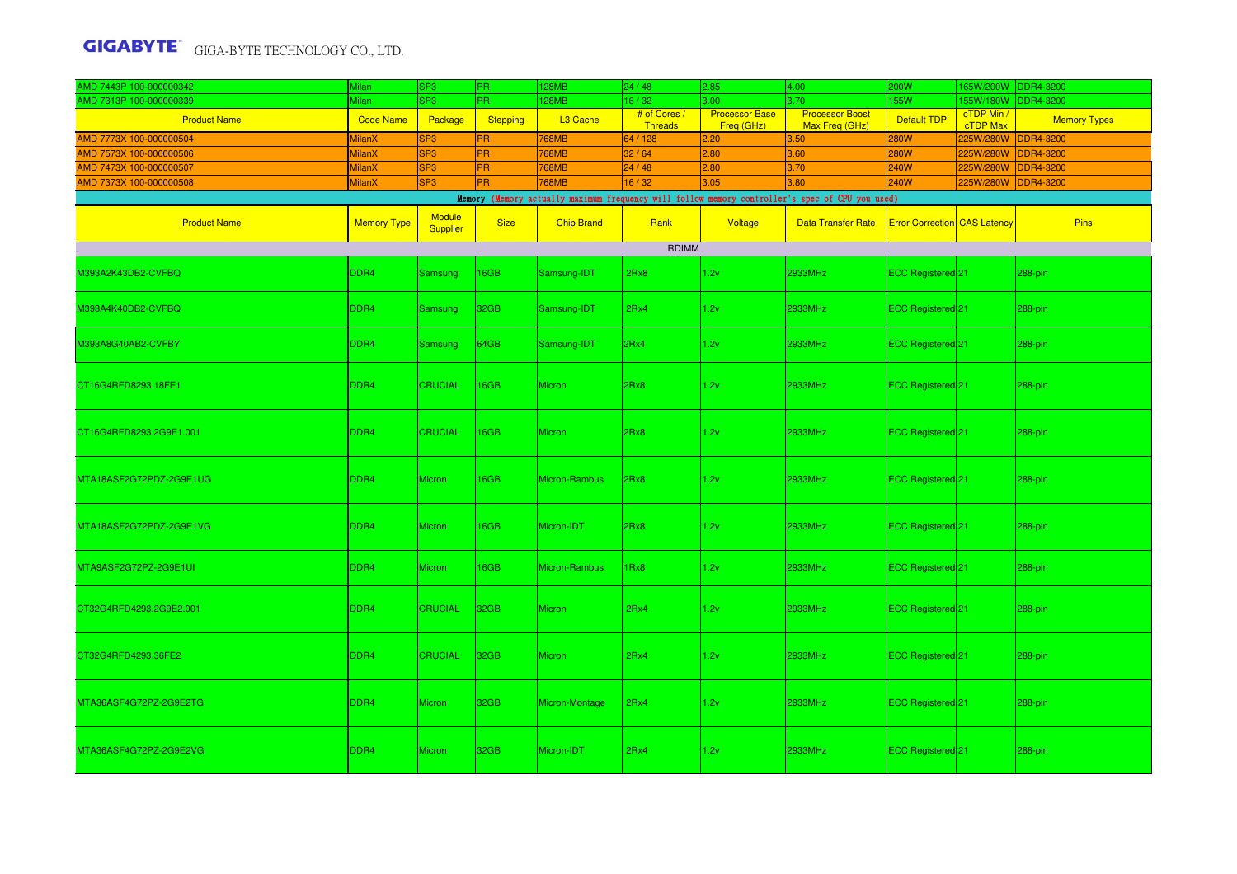| AMD 7443P 100-000000342 | <b>Milan</b>       | SP <sub>3</sub>    | <b>PR</b>        | 128MB             | 24/48                          | 2.85                                | 4.00                                                                                            | <b>200W</b>                         | 65W/200W               | <b>DDR4-3200</b>    |  |
|-------------------------|--------------------|--------------------|------------------|-------------------|--------------------------------|-------------------------------------|-------------------------------------------------------------------------------------------------|-------------------------------------|------------------------|---------------------|--|
| AMD 7313P 100-000000339 | Milan              | SP3                | PR.              | 128MB             | 16/32                          | 3.00                                | 3.70                                                                                            | 155W                                | 55W/180W               | <b>DDR4-3200</b>    |  |
| <b>Product Name</b>     | <b>Code Name</b>   | Package            | Stepping         | L3 Cache          | # of Cores /<br><b>Threads</b> | <b>Processor Base</b><br>Freq (GHz) | <b>Processor Boost</b><br>Max Freq (GHz)                                                        | Default TDP                         | cTDP Min /<br>cTDP Max | <b>Memory Types</b> |  |
| AMD 7773X 100-000000504 | MilanX             | SP <sub>3</sub>    | <b>PR</b>        | <b>768MB</b>      | 64 / 128                       | 2.20                                | 3.50                                                                                            | <b>280W</b>                         | 225W/280W              | <b>DDR4-3200</b>    |  |
| AMD 7573X 100-000000506 | <b>MilanX</b>      | SP <sub>3</sub>    | <b>PR</b>        | <b>768MB</b>      | 32/64                          | 2.80                                | 3.60                                                                                            | <b>280W</b>                         | 225W/280W              | <b>DDR4-3200</b>    |  |
| AMD 7473X 100-000000507 | <b>MilanX</b>      | SP <sub>3</sub>    | <b>PR</b>        | <b>768MB</b>      | 24/48                          | 2.80                                | 3.70                                                                                            | <b>240W</b>                         | 225W/280W              | <b>DDR4-3200</b>    |  |
| AMD 7373X 100-000000508 | <b>MilanX</b>      | SP <sub>3</sub>    | PR               | 768MB             | 16/32                          | 3.05                                | 3.80                                                                                            | <b>240W</b>                         | 225W/280W              | <b>DDR4-3200</b>    |  |
|                         |                    |                    |                  |                   |                                |                                     | Memory (Memory actually maximum frequency will follow memory controller's spec of CPU you used) |                                     |                        |                     |  |
| <b>Product Name</b>     | <b>Memory Type</b> | Module<br>Supplier | <b>Size</b>      | <b>Chip Brand</b> | Rank                           | Voltage                             | <b>Data Transfer Rate</b>                                                                       | <b>Error Correction</b> CAS Latency |                        | <b>Pins</b>         |  |
| <b>RDIMM</b>            |                    |                    |                  |                   |                                |                                     |                                                                                                 |                                     |                        |                     |  |
| 0393A2K43DB2-CVFBQ      | DDR <sub>4</sub>   | <b>Samsung</b>     | <b>16GB</b>      | Samsung-IDT       | 2Rx8                           | 1.2v                                | 2933MHz                                                                                         | ECC Registered <sup>21</sup>        |                        | 288-pin             |  |
| M393A4K40DB2-CVFBQ      | DDR <sub>4</sub>   | <b>Samsung</b>     | 32 <sub>GB</sub> | Samsung-IDT       | 2Rx4                           | 1.2v                                | 2933MHz                                                                                         | ECC Registered <sup>21</sup>        |                        | 288-pin             |  |
| M393A8G40AB2-CVFBY      | DDR4               | <b>Samsung</b>     | 64GB             | Samsung-IDT       | 2Rx4                           | 1.2v                                | 2933MHz                                                                                         | ECC Registered 21                   |                        | 288-pin             |  |
| CT16G4RFD8293.18FE1     | DDR4               | <b>CRUCIAL</b>     | <b>16GB</b>      | <b>Micron</b>     | 2Rx8                           | 1.2v                                | 2933MHz                                                                                         | ECC Registered 21                   |                        | 288-pin             |  |
| CT16G4RFD8293.2G9E1.001 | DDR4               | <b>CRUCIAL</b>     | 16GB             | <b>Micron</b>     | 2Rx8                           | 1.2v                                | 2933MHz                                                                                         | ECC Registered 21                   |                        | 288-pin             |  |
| MTA18ASF2G72PDZ-2G9E1UG | DDR4               | <b>Micron</b>      | <b>16GB</b>      | Micron-Rambus     | 2Rx8                           | 1.2v                                | 2933MHz                                                                                         | ECC Registered <sup>21</sup>        |                        | 288-pin             |  |
| MTA18ASF2G72PDZ-2G9E1VG | DDR <sub>4</sub>   | <b>Micron</b>      | <b>16GB</b>      | Micron-IDT        | 2Rx8                           | 1.2v                                | 2933MHz                                                                                         | ECC Registered 21                   |                        | 288-pin             |  |
| MTA9ASF2G72PZ-2G9E1UI   | DDR4               | <b>Micron</b>      | <b>16GB</b>      | Micron-Rambus     | 1Rx8                           | 1.2v                                | 2933MHz                                                                                         | ECC Registered 21                   |                        | 288-pin             |  |
| CT32G4RFD4293.2G9E2.001 | DDR4               | <b>CRUCIAL</b>     | 32 <sub>GB</sub> | <b>Micron</b>     | 2Rx4                           | 1.2v                                | 2933MHz                                                                                         | ECC Registered 21                   |                        | 288-pin             |  |
| CT32G4RFD4293.36FE2     | DDR4               | <b>CRUCIAL</b>     | 32 <sub>GB</sub> | <b>Micron</b>     | 2Rx4                           | 1.2v                                | 2933MHz                                                                                         | ECC Registered 21                   |                        | 288-pin             |  |
| MTA36ASF4G72PZ-2G9E2TG  | DDR4               | <b>Micron</b>      | 32 <sub>GB</sub> | Micron-Montage    | 2Rx4                           | 1.2v                                | 2933MHz                                                                                         | ECC Registered <sup>21</sup>        |                        | 288-pin             |  |
| MTA36ASF4G72PZ-2G9E2VG  | DDR <sub>4</sub>   | <b>Micron</b>      | 32GB             | Micron-IDT        | 2Rx4                           | 1.2v                                | 2933MHz                                                                                         | ECC Registered <sup>21</sup>        |                        | 288-pin             |  |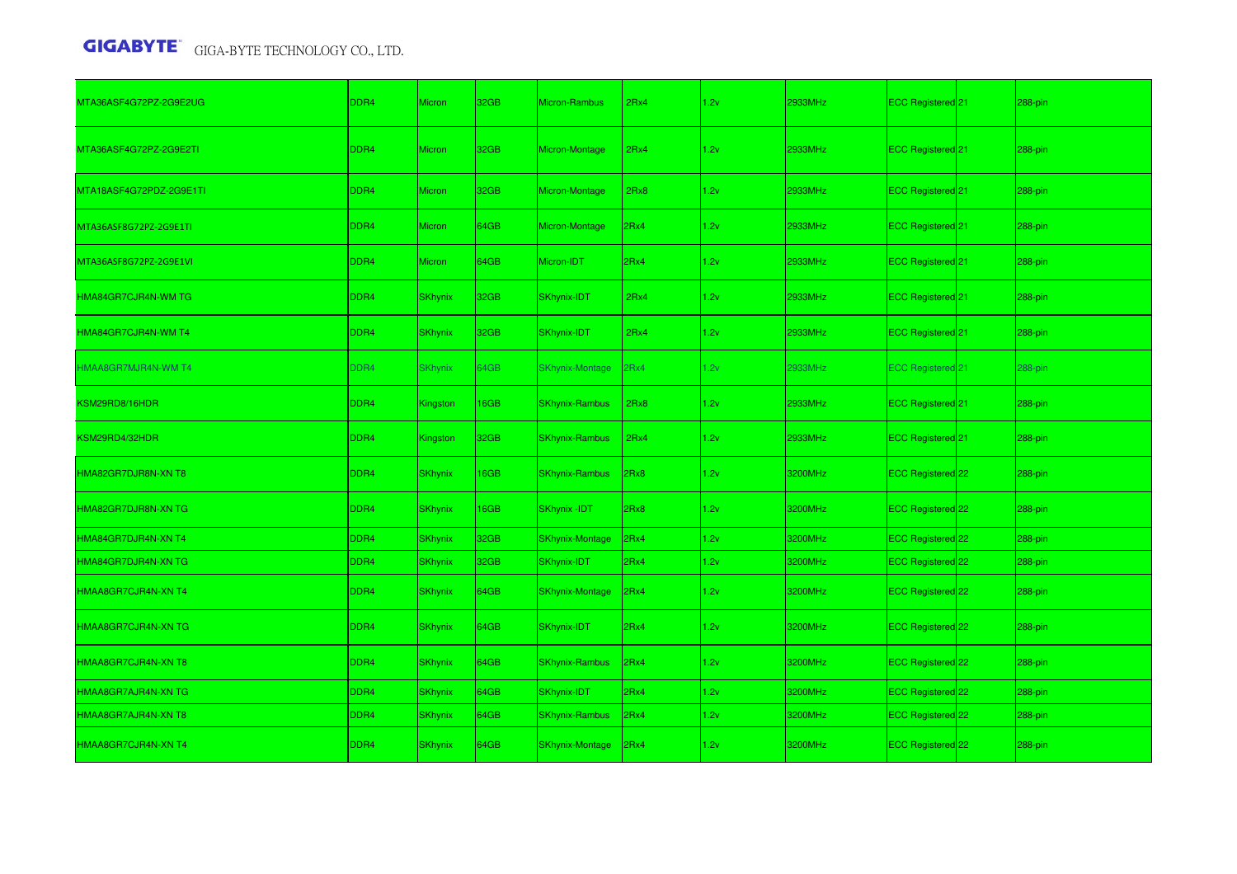| MTA36ASF4G72PZ-2G9E2UG     | DDR4             | <b>Micron</b>   | 32GB             | Micron-Rambus          | 2Rx4 | 1.2v | 2933MHz | ECC Registered 21            | 288-pin    |
|----------------------------|------------------|-----------------|------------------|------------------------|------|------|---------|------------------------------|------------|
| MTA36ASF4G72PZ-2G9E2TI     | DDR4             | <b>Micron</b>   | 32GB             | Micron-Montage         | 2Rx4 | 1.2v | 2933MHz | ECC Registered 21            | 288-pin    |
| MTA18ASF4G72PDZ-2G9E1TI    | DDR <sub>4</sub> | Micron          | 32GB             | Micron-Montage         | 2Rx8 | 1.2v | 2933MHz | ECC Registered <sup>21</sup> | 288-pin    |
| MTA36ASF8G72PZ-2G9E1TI     | DDR <sub>4</sub> | <b>Micron</b>   | 64GB             | Micron-Montage         | 2Rx4 | 1.2v | 2933MHz | ECC Registered 21            | 288-pin    |
| MTA36ASF8G72PZ-2G9E1VI     | DDR4             | <b>Micron</b>   | 64GB             | Micron-IDT             | 2Rx4 | 1.2v | 2933MHz | ECC Registered <sup>21</sup> | 288-pin    |
| <b>HMA84GR7CJR4N-WM TG</b> | DDR <sub>4</sub> | <b>SKhynix</b>  | 32GB             | SKhynix-IDT            | 2Rx4 | 1.2v | 2933MHz | ECC Registered <sup>21</sup> | 288-pin    |
| HMA84GR7CJR4N-WM T4        | DDR <sub>4</sub> | <b>SKhynix</b>  | 32GB             | SKhynix-IDT            | 2Rx4 | 1.2v | 2933MHz | ECC Registered 21            | 288-pin    |
| HMAA8GR7MJR4N-WM T4        | DDR4             | <b>SKhynix</b>  | 64GB             | SKhynix-Montage        | 2Rx4 | 1.2v | 2933MHz | ECC Registered 21            | 288-pin    |
| KSM29RD8/16HDR             | DDR4             | Kingston        | 16GB             | <b>SKhynix-Rambus</b>  | 2Rx8 | 1.2v | 2933MHz | ECC Registered 21            | 288-pin    |
| KSM29RD4/32HDR             | DDR <sub>4</sub> | <b>Kingston</b> | 32 <sub>GB</sub> | <b>SKhynix-Rambus</b>  | 2Rx4 | 1.2v | 2933MHz | ECC Registered 21            | 288-pin    |
| HMA82GR7DJR8N-XN T8        | DDR <sub>4</sub> | <b>SKhynix</b>  | 16GB             | <b>SKhynix-Rambus</b>  | 2Rx8 | 1.2v | 3200MHz | ECC Registered 22            | 288-pin    |
| HMA82GR7DJR8N-XN TG        | DDR <sub>4</sub> | <b>SKhynix</b>  | 16GB             | <b>SKhynix-IDT</b>     | 2Rx8 | 1.2v | 3200MHz | ECC Registered 22            | 288-pin    |
| HMA84GR7DJR4N-XN T4        | DDR4             | <b>SKhynix</b>  | 32GB             | <b>SKhynix-Montage</b> | 2Rx4 | 1.2v | 3200MHz | ECC Registered 22            | 288-pin    |
| HMA84GR7DJR4N-XN TG        | DDR4             | <b>SKhynix</b>  | 32GB             | SKhynix-IDT            | 2Rx4 | 1.2v | 3200MHz | ECC Registered 22            | 288-pin    |
| HMAA8GR7CJR4N-XN T4        | DDR <sub>4</sub> | <b>SKhynix</b>  | 64GB             | <b>SKhynix-Montage</b> | 2Rx4 | 1.2v | 3200MHz | ECC Registered 22            | 288-pin    |
| HMAA8GR7CJR4N-XN TG        | DDR <sub>4</sub> | <b>SKhynix</b>  | 64GB             | SKhynix-IDT            | 2Rx4 | 1.2v | 3200MHz | ECC Registered 22            | 288-pin    |
| HMAA8GR7CJR4N-XN T8        | DDR <sub>4</sub> | <b>SKhynix</b>  | 64GB             | <b>SKhynix-Rambus</b>  | 2Rx4 | 1.2v | 3200MHz | ECC Registered 22            | $288$ -pin |
| HMAA8GR7AJR4N-XN TG        | DDR4             | <b>SKhynix</b>  | 64GB             | SKhynix-IDT            | 2Rx4 | 1.2v | 3200MHz | ECC Registered 22            | 288-pin    |
|                            |                  |                 |                  |                        |      |      |         |                              |            |
| HMAA8GR7AJR4N-XN T8        | DDR4             | <b>SKhynix</b>  | 64GB             | <b>SKhynix-Rambus</b>  | 2Rx4 | 1.2v | 3200MHz | ECC Registered 22            | 288-pin    |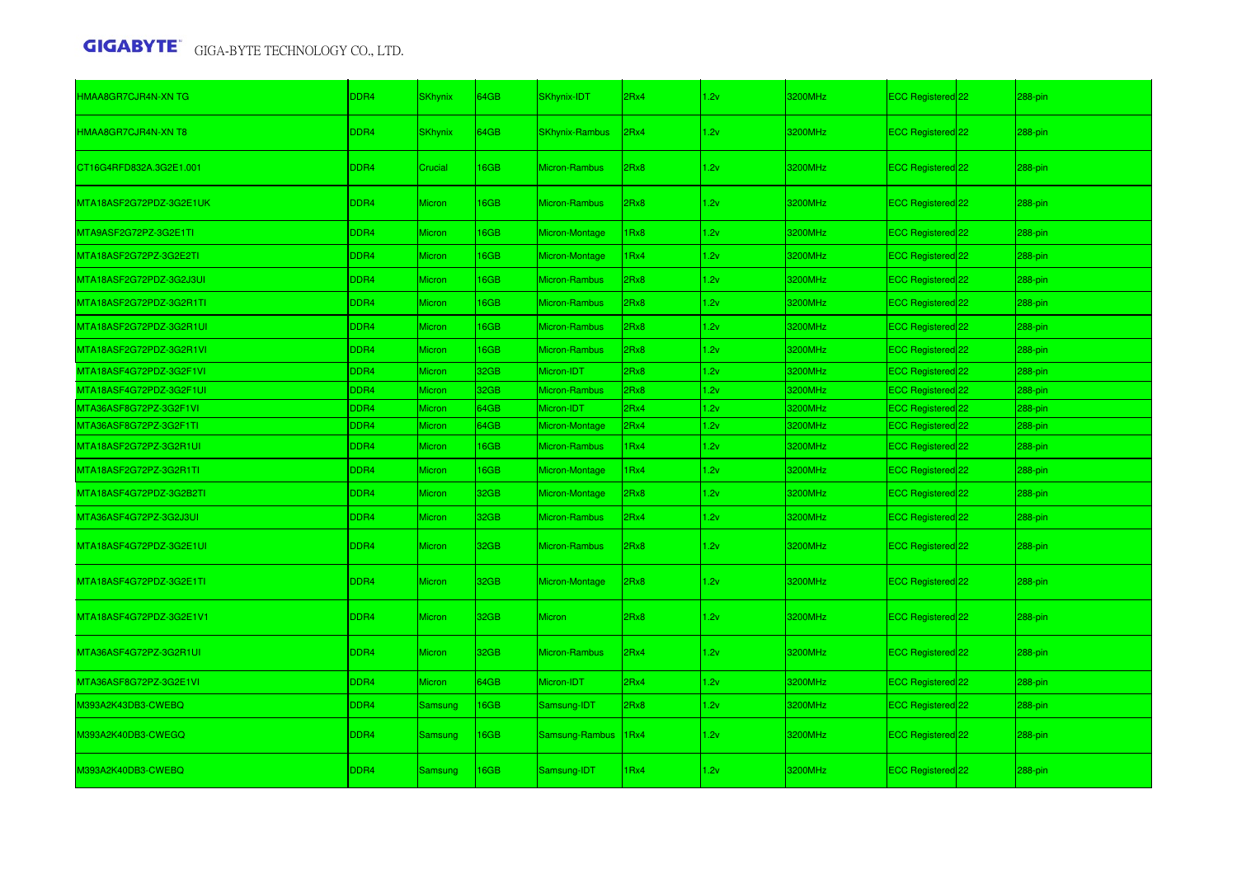| HMAA8GR7CJR4N-XN TG     | DDR <sub>4</sub> | <b>SKhynix</b> | 64GB        | SKhynix-IDT           | 2Rx4 | 1.2v | 3200MHz | ECC Registered 22        | 288-pin |
|-------------------------|------------------|----------------|-------------|-----------------------|------|------|---------|--------------------------|---------|
| HMAA8GR7CJR4N-XN T8     | DDR4             | <b>SKhynix</b> | 64GB        | <b>SKhynix-Rambus</b> | 2Rx4 | 1.2v | 3200MHz | ECC Registered 22        | 288-pin |
| CT16G4RFD832A.3G2E1.001 | DDR4             | Crucial        | 16GB        | Micron-Rambus         | 2Rx8 | 1.2v | 3200MHz | ECC Registered 22        | 288-pin |
| MTA18ASF2G72PDZ-3G2E1UK | DDR4             | Micron         | 16GB        | Micron-Rambus         | 2Rx8 | 1.2v | 3200MHz | <b>ECC Registered</b> 22 | 288-pin |
| MTA9ASF2G72PZ-3G2E1TI   | DDR4             | Micron         | <b>6GB</b>  | Micron-Montage        | Rx8  | 1.2v | 3200MHz | ECC Registered 22        | 288-pin |
| MTA18ASF2G72PZ-3G2E2TI  | DDR4             | Micron         | <b>I6GB</b> | Micron-Montage        | 1Rx4 | 1.2v | 3200MHz | ECC Registered 22        | 288-pin |
| MTA18ASF2G72PDZ-3G2J3UI | DDR4             | Micron         | 16GB        | Micron-Rambus         | 2Rx8 | 1.2v | 3200MHz | ECC Registered 22        | 288-pin |
| MTA18ASF2G72PDZ-3G2R1TI | DDR4             | <b>Micron</b>  | <b>I6GB</b> | Micron-Rambus         | 2Rx8 | 1.2v | 3200MHz | ECC Registered 22        | 288-pin |
| MTA18ASF2G72PDZ-3G2R1UI | DDR4             | <b>Micron</b>  | 16GB        | Micron-Rambus         | 2Rx8 | 1.2v | 3200MHz | ECC Registered 22        | 288-pin |
| MTA18ASF2G72PDZ-3G2R1VI | DDR4             | <b>Micron</b>  | <b>I6GB</b> | Micron-Rambus         | 2Rx8 | 1.2v | 3200MHz | ECC Registered 22        | 288-pin |
| MTA18ASF4G72PDZ-3G2F1VI | DDR <sub>4</sub> | Micron         | 32GB        | Micron-IDT            | 2Rx8 | 1.2v | 3200MHz | ECC Registered 22        | 288-pin |
| MTA18ASF4G72PDZ-3G2F1UI | DDR <sub>4</sub> | <b>Micron</b>  | 32GB        | Micron-Rambus         | 2Rx8 | 1.2v | 3200MHz | ECC Registered 22        | 288-pin |
| MTA36ASF8G72PZ-3G2F1VI  | DDR <sub>4</sub> | Micron         | 64GB        | Micron-IDT            | 2Rx4 | 1.2v | 3200MHz | ECC Registered 22        | 288-pin |
| MTA36ASF8G72PZ-3G2F1TI  | DDR4             | <b>Micron</b>  | 64GB        | Micron-Montage        | 2Rx4 | 1.2v | 3200MHz | ECC Registered 22        | 288-pin |
| MTA18ASF2G72PZ-3G2R1UI  | DDR4             | Micron         | 16GB        | Micron-Rambus         | 1Rx4 | 1.2v | 3200MHz | ECC Registered 22        | 288-pin |
| MTA18ASF2G72PZ-3G2R1TI  | DDR4             | <b>Micron</b>  | <b>I6GB</b> | Micron-Montage        | 1Rx4 | 1.2v | 3200MHz | ECC Registered 22        | 288-pin |
| MTA18ASF4G72PDZ-3G2B2TI | DDR4             | <b>Micron</b>  | 32GB        | Micron-Montage        | 2Rx8 | 1.2v | 3200MHz | ECC Registered 22        | 288-pin |
| MTA36ASF4G72PZ-3G2J3UI  | DDR4             | <b>Micron</b>  | 32GB        | Micron-Rambus         | 2Rx4 | 1.2v | 3200MHz | ECC Registered 22        | 288-pin |
| MTA18ASF4G72PDZ-3G2E1UI | DDR4             | <b>Micron</b>  | 32GB        | Micron-Rambus         | 2Rx8 | 1.2v | 3200MHz | ECC Registered 22        | 288-pin |
| MTA18ASF4G72PDZ-3G2E1TL | DDR4             | <b>Micron</b>  | 32GB        | Micron-Montage        | 2Rx8 | 1.2v | 3200MHz | ECC Registered 22        | 288-pin |
| MTA18ASF4G72PDZ-3G2E1V1 | DDR4             | <b>Micron</b>  | 32GB        | Micron                | 2Rx8 | 1.2v | 3200MHz | <b>ECC Registered</b> 22 | 288-pin |
| MTA36ASF4G72PZ-3G2R1UI  | DDR4             | <b>Micron</b>  | 32GB        | Micron-Rambus         | 2Rx4 | 1.2v | 3200MHz | ECC Registered 22        | 288-pin |
| MTA36ASF8G72PZ-3G2E1VI  | DDR4             | <b>Micron</b>  | 64GB        | Micron-IDT            | 2Rx4 | 1.2v | 3200MHz | ECC Registered 22        | 288-pin |
| M393A2K43DB3-CWEBQ      | DDR4             | Samsung        | 16GB        | Samsung-IDT           | 2Rx8 | 1.2v | 3200MHz | ECC Registered 22        | 288-pin |
| M393A2K40DB3-CWEGQ      | DDR4             | Samsung        | 16GB        | Samsung-Rambus        | 1Rx4 | 1.2v | 3200MHz | <b>ECC Registered</b> 22 | 288-pin |
| M393A2K40DB3-CWEBQ      | DDR <sub>4</sub> | Samsung        | 16GB        | Samsung-IDT           | 1Rx4 | 1.2v | 3200MHz | ECC Registered 22        | 288-pin |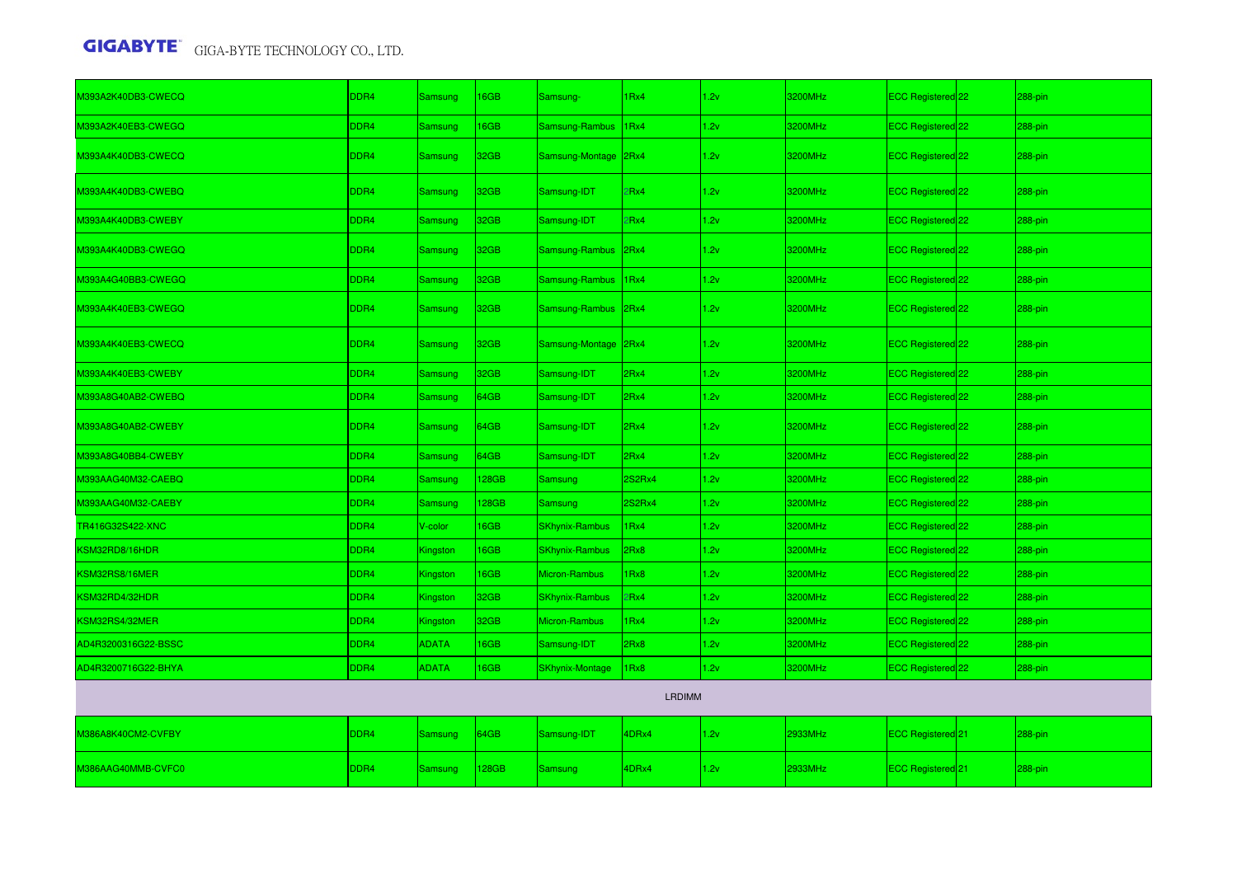| M393A2K40DB3-CWECQ  | DDR4             | Samsung        | 16GB             | Samsung-               | 1Rx4   | 1.2v | 3200MHz | ECC Registered 22        | 288-pin    |  |
|---------------------|------------------|----------------|------------------|------------------------|--------|------|---------|--------------------------|------------|--|
| M393A2K40EB3-CWEGQ  | DDR4             | Samsung        | 16GB             | Samsung-Rambus         | 1Rx4   | 1.2v | 3200MHz | ECC Registered 22        | 288-pin    |  |
| M393A4K40DB3-CWECQ  | DDR4             | <b>Samsung</b> | 32 <sub>GB</sub> | Samsung-Montage 2Rx4   |        | 1.2v | 3200MHz | ECC Registered 22        | 288-pin    |  |
| M393A4K40DB3-CWEBQ  | DDR4             | Samsung        | 32 <sub>GB</sub> | Samsung-IDT            | 2Rx4   | 1.2v | 3200MHz | <b>ECC Registered</b> 22 | 288-pin    |  |
| M393A4K40DB3-CWEBY  | DDR4             | Samsung        | 32GB             | Samsung-IDT            | 2Rx4   | 1.2v | 3200MHz | ECC Registered 22        | 288-pin    |  |
| M393A4K40DB3-CWEGQ  | DDR4             | Samsung        | 32GB             | Samsung-Rambus 2Rx4    |        | 1.2v | 3200MHz | ECC Registered 22        | 288-pin    |  |
| M393A4G40BB3-CWEGQ  | DDR4             | Samsung        | 32GB             | Samsung-Rambus 1Rx4    |        | 1.2v | 3200MHz | ECC Registered 22        | 288-pin    |  |
| M393A4K40EB3-CWEGQ  | DDR4             | Samsung        | 32GB             | Samsung-Rambus 2Rx4    |        | 1.2v | 3200MHz | ECC Registered 22        | 288-pin    |  |
| M393A4K40EB3-CWECQ  | DDR4             | Samsung        | 32GB             | Samsung-Montage 2Rx4   |        | 1.2v | 3200MHz | ECC Registered 22        | 288-pin    |  |
| M393A4K40EB3-CWEBY  | DDR4             | Samsung        | 32GB             | Samsung-IDT            | 2Rx4   | 1.2v | 3200MHz | ECC Registered 22        | 288-pin    |  |
| M393A8G40AB2-CWEBQ  | DDR4             | Samsung        | 64GB             | Samsung-IDT            | 2Rx4   | 1.2v | 3200MHz | ECC Registered 22        | 288-pin    |  |
| M393A8G40AB2-CWEBY  | DDR4             | Samsung        | 64GB             | Samsung-IDT            | 2Rx4   | 1.2v | 3200MHz | ECC Registered 22        | $288$ -pin |  |
| M393A8G40BB4-CWEBY  | DDR4             | Samsung        | 64GB             | Samsung-IDT            | 2Rx4   | 1.2v | 3200MHz | ECC Registered 22        | 288-pin    |  |
| M393AAG40M32-CAEBQ  | DDR4             | Samsung        | 128GB            | Samsung                | 2S2Rx4 | 1.2v | 3200MHz | ECC Registered 22        | 288-pin    |  |
| M393AAG40M32-CAEBY  | DDR4             | Samsung        | 128GB            | Samsung                | 2S2Rx4 | 1.2v | 3200MHz | ECC Registered 22        | 288-pin    |  |
| TR416G32S422-XNC    | DDR4             | V-color        | 16GB             | <b>SKhynix-Rambus</b>  | 1Rx4   | 1.2v | 3200MHz | ECC Registered 22        | 288-pin    |  |
| KSM32RD8/16HDR      | DDR4             | Kingston       | 16GB             | <b>SKhynix-Rambus</b>  | 2Rx8   | 1.2v | 3200MHz | ECC Registered 22        | 288-pin    |  |
| KSM32RS8/16MER      | DDR4             | Kingston       | 16GB             | Micron-Rambus          | 1Rx8   | 1.2v | 3200MHz | ECC Registered 22        | 288-pin    |  |
| KSM32RD4/32HDR      | DDR4             | Kingston       | 32GB             | <b>SKhynix-Rambus</b>  | 2Rx4   | 1.2v | 3200MHz | ECC Registered 22        | 288-pin    |  |
| KSM32RS4/32MER      | DDR4             | Kingston       | 32GB             | Micron-Rambus          | 1Rx4   | 1.2v | 3200MHz | ECC Registered 22        | 288-pin    |  |
| AD4R3200316G22-BSSC | DDR4             | <b>ADATA</b>   | 16GB             | Samsung-IDT            | 2Rx8   | 1.2v | 3200MHz | ECC Registered 22        | 288-pin    |  |
| AD4R3200716G22-BHYA | DDR4             | <b>ADATA</b>   | 16GB             | <b>SKhynix-Montage</b> | 1Rx8   | 1.2v | 3200MHz | ECC Registered 22        | 288-pin    |  |
| <b>LRDIMM</b>       |                  |                |                  |                        |        |      |         |                          |            |  |
| M386A8K40CM2-CVFBY  | DDR4             | Samsung        | 64GB             | Samsung-IDT            | 4DRx4  | 1.2v | 2933MHz | ECC Registered 21        | 288-pin    |  |
| M386AAG40MMB-CVFC0  | DDR <sub>4</sub> | Samsung        | 128GB            | Samsung                | 4DRx4  | 1.2v | 2933MHz | ECC Registered 21        | 288-pin    |  |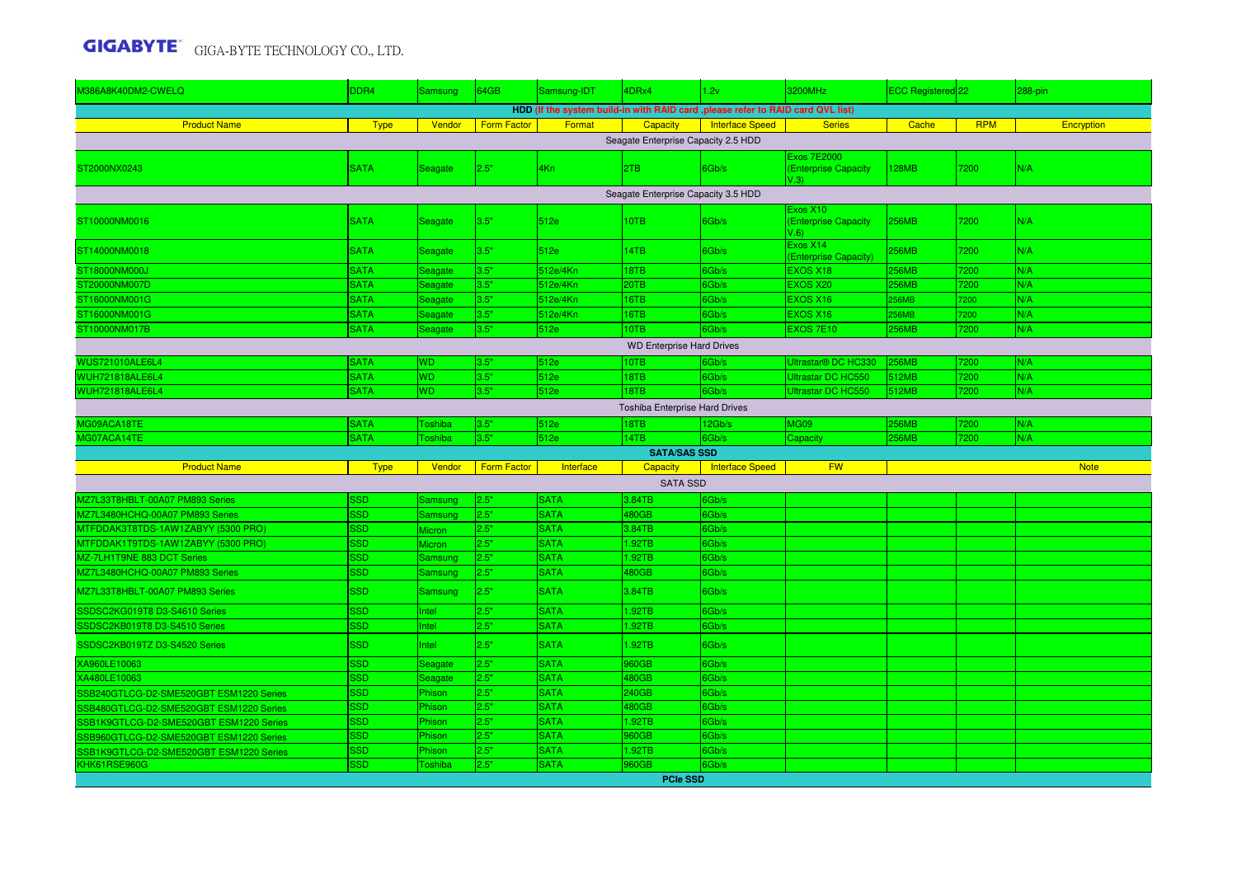| M386A8K40DM2-CWELQ                      | DDR4        | <b>Samsung</b> | 64GB               | Samsung-IDT | 4DRx4                               | 1.2v                                                                             | 3200MHz                                           | ECC Registered 22 |            | 288-pin     |  |  |
|-----------------------------------------|-------------|----------------|--------------------|-------------|-------------------------------------|----------------------------------------------------------------------------------|---------------------------------------------------|-------------------|------------|-------------|--|--|
|                                         |             |                |                    |             |                                     | HDD (If the system build-in with RAID card , please refer to RAID card QVL list) |                                                   |                   |            |             |  |  |
| <b>Product Name</b>                     | <b>Type</b> | Vendor         | <b>Form Factor</b> | Format      | <b>Capacity</b>                     | <b>Interface Speed</b>                                                           | <b>Series</b>                                     | Cache             | <b>RPM</b> | Encryption  |  |  |
|                                         |             |                |                    |             | Seagate Enterprise Capacity 2.5 HDD |                                                                                  |                                                   |                   |            |             |  |  |
| ST2000NX0243                            | <b>SATA</b> | Seagate        | 2.5"               | 4Kn         | 2TB                                 | 6Gb/s                                                                            | <b>Exos 7E2000</b><br>(Enterprise Capacity<br>V.3 | 128MB             | 7200       | N/A         |  |  |
| Seagate Enterprise Capacity 3.5 HDD     |             |                |                    |             |                                     |                                                                                  |                                                   |                   |            |             |  |  |
|                                         |             |                |                    |             |                                     |                                                                                  | Exos X10                                          |                   |            |             |  |  |
| ST10000NM0016                           | <b>SATA</b> | Seagate        | 3.5"               | 512e        | 10TB                                | 6Gb/s                                                                            | (Enterprise Capacity<br>$V.6$ )                   | <b>256MB</b>      | 7200       | N/A         |  |  |
| ST14000NM0018                           | <b>SATA</b> | Seagate        | 3.5"               | 512e        | 14TB                                | 6Gb/s                                                                            | Exos X14<br>(Enterprise Capacity)                 | 256MB             | 7200       | N/A         |  |  |
| ST18000NM000J                           | <b>SATA</b> | Seagate        | 3.5"               | 512e/4Kn    | 18TB                                | 6Gb/s                                                                            | <b>EXOS X18</b>                                   | 256MB             | 7200       | N/A         |  |  |
| ST20000NM007D                           | <b>SATA</b> | Seagate        | 3.5"               | 512e/4Kn    | 20TB                                | 6Gb/s                                                                            | <b>EXOS X20</b>                                   | 256MB             | 7200       | N/A         |  |  |
| ST16000NM001G                           | <b>SATA</b> | Seagate        | 3.5"               | 512e/4Kn    | 16TB                                | 6Gb/s                                                                            | <b>EXOS X16</b>                                   | 256MB             | 7200       | N/A         |  |  |
| ST16000NM001G                           | <b>SATA</b> | Seagate        | 3.5"               | 512e/4Kn    | 16TB                                | 6Gb/s                                                                            | <b>EXOS X16</b>                                   | 256MB             | 200        | N/A         |  |  |
| ST10000NM017B                           | <b>SATA</b> | Seagate        | 3.5"               | 512e        | 10TB                                | 6Gb/s                                                                            | <b>EXOS 7E10</b>                                  | <b>256MB</b>      | 7200       | N/A         |  |  |
| <b>WD Enterprise Hard Drives</b>        |             |                |                    |             |                                     |                                                                                  |                                                   |                   |            |             |  |  |
| <b>WUS721010ALE6L4</b>                  | <b>SATA</b> | WD.            | 3.5"               | 512e        | 10TB                                | 6Gb/s                                                                            | Ultrastar <sup>®</sup> DC HC330                   | <b>256MB</b>      | 7200       | N/A         |  |  |
| <b>WUH721818ALE6L4</b>                  | <b>SATA</b> | <b>WD</b>      | 3.5"               | 512e        | 18TB                                | 6Gb/s                                                                            | Ultrastar DC HC550                                | 512MB             | 7200       | N/A         |  |  |
| <b>WUH721818ALE6L4</b>                  | <b>SATA</b> | <b>WD</b>      | 3.5"               | 512e        | 18TB                                | 6Gb/s                                                                            | Ultrastar DC HC550                                | 512MB             | 7200       | N/A         |  |  |
| Toshiba Enterprise Hard Drives          |             |                |                    |             |                                     |                                                                                  |                                                   |                   |            |             |  |  |
| MG09ACA18TE                             | <b>SATA</b> | oshiba         | 3.5"               | 512e        | 18TB                                | 12Gb/s                                                                           | <b>MG09</b>                                       | <b>256MB</b>      | 7200       | N/A         |  |  |
| MG07ACA14TE                             | <b>SATA</b> | oshiba         | 3.5"               | 512e        | 14TB                                | 6Gb/s                                                                            | Capacity                                          | 256MB             | 7200       | N/A         |  |  |
| <b>SATA/SAS SSD</b>                     |             |                |                    |             |                                     |                                                                                  |                                                   |                   |            |             |  |  |
| <b>Product Name</b>                     | <b>Type</b> | Vendor         | <b>Form Factor</b> | Interface   | <b>Capacity</b>                     | Interface Speed                                                                  | <b>FW</b>                                         |                   |            | <b>Note</b> |  |  |
|                                         |             |                |                    |             | <b>SATA SSD</b>                     |                                                                                  |                                                   |                   |            |             |  |  |
| MZ7L33T8HBLT-00A07 PM893 Series         | <b>SSD</b>  | Samsung        | 2.5"               | <b>SATA</b> | 3.84TB                              | 6Gb/s                                                                            |                                                   |                   |            |             |  |  |
| MZ7L3480HCHQ-00A07 PM893 Series         | <b>SSD</b>  | Samsung        | 2.5"               | <b>SATA</b> | 480GB                               | 6Gb/s                                                                            |                                                   |                   |            |             |  |  |
| MTFDDAK3T8TDS-1AW1ZABYY (5300 PRO)      | <b>SSD</b>  | Micron         | 2.5"               | <b>SATA</b> | 3.84TB                              | 6Gb/s                                                                            |                                                   |                   |            |             |  |  |
| MTFDDAK1T9TDS-1AW1ZABYY (5300 PRO)      | <b>SSD</b>  | Micron         | 2.5"               | <b>SATA</b> | 1.92TB                              | 6Gb/s                                                                            |                                                   |                   |            |             |  |  |
| 1Z-7LH1T9NE 883 DCT Series              | <b>SSD</b>  | Samsung        | 2.5"               | <b>SATA</b> | 1.92TB                              | 6Gb/s                                                                            |                                                   |                   |            |             |  |  |
| <b>MZ7L3480HCHQ-00A07 PM893 Series</b>  | <b>SSD</b>  | Samsung        | 2.5"               | <b>SATA</b> | 480GB                               | 6Gb/s                                                                            |                                                   |                   |            |             |  |  |
| MZ7L33T8HBLT-00A07 PM893 Series         | <b>SSD</b>  | <b>Samsung</b> | 2.5"               | <b>SATA</b> | 3.84TB                              | 6Gb/s                                                                            |                                                   |                   |            |             |  |  |
| SSDSC2KG019T8 D3-S4610 Series           | <b>SSD</b>  | Intel          | 2.5"               | <b>SATA</b> | 1.92TB                              | 6Gb/s                                                                            |                                                   |                   |            |             |  |  |
| SSDSC2KB019T8 D3-S4510 Series           | <b>SSD</b>  | Intel          | 2.5"               | <b>SATA</b> | .92TB                               | 6Gb/s                                                                            |                                                   |                   |            |             |  |  |
| SSDSC2KB019TZ D3-S4520 Series           | <b>SSD</b>  | Intel          | 2.5"               | <b>SATA</b> | 1.92TB                              | 6Gb/s                                                                            |                                                   |                   |            |             |  |  |
| XA960LE10063                            | <b>SSD</b>  | Seagate        | 2.5"               | <b>SATA</b> | 960GB                               | 6Gb/s                                                                            |                                                   |                   |            |             |  |  |
| XA480LE10063                            | <b>SSD</b>  | Seagate        | 2.5"               | <b>SATA</b> | 480GB                               | 6Gb/s                                                                            |                                                   |                   |            |             |  |  |
| SB240GTLCG-D2-SME520GBT ESM1220 Series  | <b>SSD</b>  | Phison         | 2.5"               | <b>SATA</b> | 240GB                               | 6Gb/s                                                                            |                                                   |                   |            |             |  |  |
| SSB480GTLCG-D2-SME520GBT ESM1220 Series | <b>SSD</b>  | Phison         | 2.5"               | <b>SATA</b> | 480GB                               | 6Gb/s                                                                            |                                                   |                   |            |             |  |  |
| SB1K9GTLCG-D2-SME520GBT ESM1220 Series  | <b>SSD</b>  | Phison         | 2.5"               | <b>SATA</b> | 1.92TB                              | 6Gb/s                                                                            |                                                   |                   |            |             |  |  |
| SSB960GTLCG-D2-SME520GBT ESM1220 Series | <b>SSD</b>  | Phison         | 2.5"               | <b>SATA</b> | 960GB                               | 6Gb/s                                                                            |                                                   |                   |            |             |  |  |
| SB1K9GTLCG-D2-SME520GBT ESM1220 Series  | <b>SSD</b>  | Phison         | 2.5"               | <b>SATA</b> | 1.92TB                              | 6Gb/s                                                                            |                                                   |                   |            |             |  |  |
| KHK61RSE960G                            | <b>SSD</b>  | oshiba         | 2.5"               | <b>SATA</b> | 960GB                               | 6Gb/s                                                                            |                                                   |                   |            |             |  |  |
|                                         |             |                |                    |             |                                     |                                                                                  |                                                   |                   |            |             |  |  |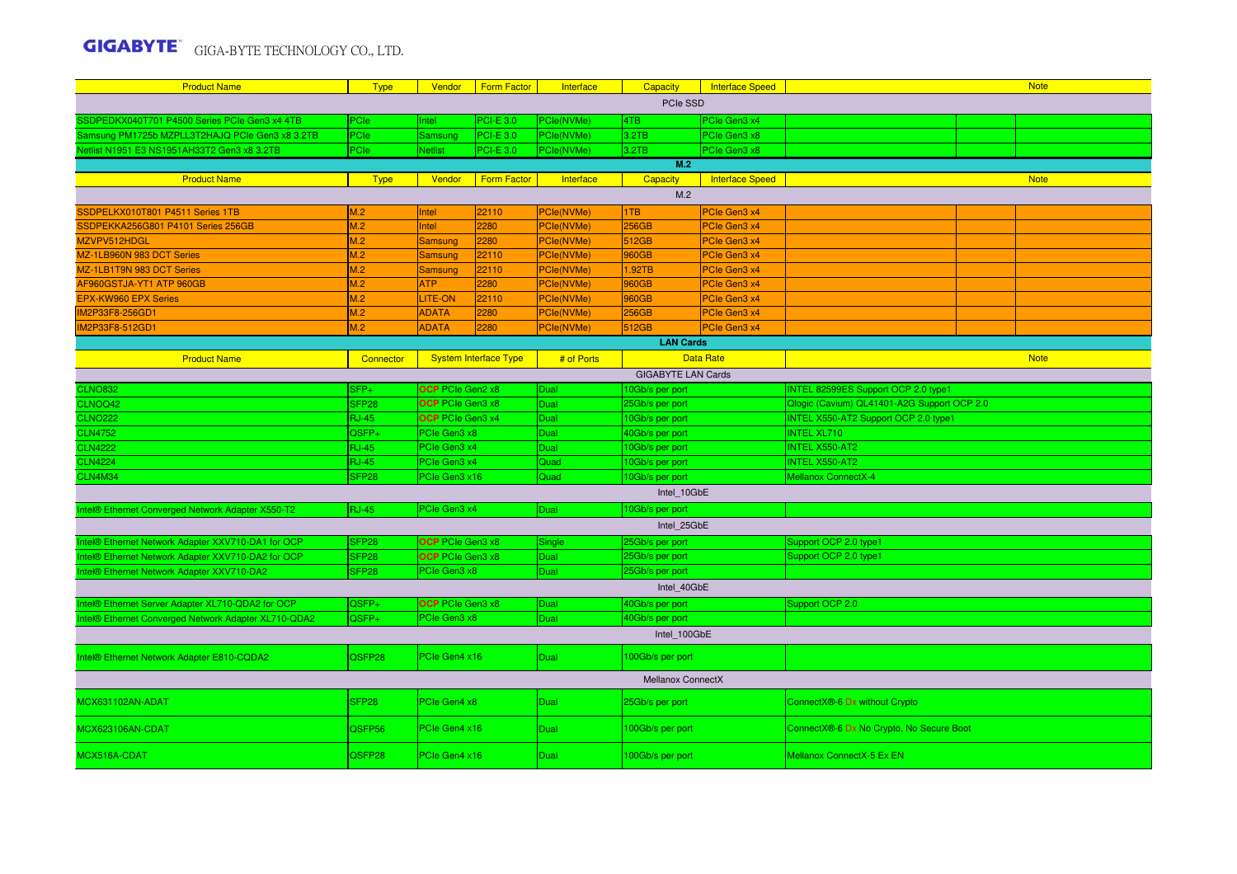| <b>Product Name</b>                                  | <b>Type</b>       | Vendor                      | <b>Form Factor</b>           | Interface               | Capacity          | <b>Interface Speed</b> | <b>Note</b>                                 |  |             |  |
|------------------------------------------------------|-------------------|-----------------------------|------------------------------|-------------------------|-------------------|------------------------|---------------------------------------------|--|-------------|--|
|                                                      |                   |                             |                              |                         | PCIe SSD          |                        |                                             |  |             |  |
| SSDPEDKX040T701 P4500 Series PCIe Gen3 x4 4TB        | PCIe              | Intel                       | <b>PCI-E 3.0</b>             | PCle(NVMe)              | 4TB               | PCIe Gen3 x4           |                                             |  |             |  |
| Samsung PM1725b MZPLL3T2HAJQ PCIe Gen3 x8 3.2TB      | PCIe              | Samsung                     | <b>PCI-E 3.0</b>             | PCle(NVMe)              | 3.2TB             | PCIe Gen3 x8           |                                             |  |             |  |
| Netlist N1951 E3 NS1951AH33T2 Gen3 x8 3.2TB          | PCIe              | <b>Netlist</b>              | <b>PCI-E 3.0</b>             | PCle(NVMe)              | 3.2TB             | PCIe Gen3 x8           |                                             |  |             |  |
|                                                      |                   |                             |                              |                         | M.2               |                        |                                             |  |             |  |
| <b>Product Name</b>                                  | <b>Type</b>       | Vendor                      | <b>Form Factor</b>           | Interface               | <b>Capacity</b>   | Interface Speed        |                                             |  | <b>Note</b> |  |
|                                                      |                   |                             |                              |                         | M.2               |                        |                                             |  |             |  |
| SSDPELKX010T801 P4511 Series 1TB                     | M.2               | Intel                       | 22110                        | PCle(NVMe)              | 1TB               | PCle Gen3 x4           |                                             |  |             |  |
| SSDPEKKA256G801 P4101 Series 256GB                   | M.2               | Intel                       | 2280                         | PCle(NVMe)              | 256GB             | PCIe Gen3 x4           |                                             |  |             |  |
| MZVPV512HDGL                                         | M.2               | <b>Samsung</b>              | 2280                         | PCle(NVMe)              | 512GB             | PCIe Gen3 x4           |                                             |  |             |  |
| MZ-1LB960N 983 DCT Series                            | M.2               | <b>Samsung</b>              | 22110                        | PCle(NVMe)              | 960GB             | PCIe Gen3 x4           |                                             |  |             |  |
| MZ-1LB1T9N 983 DCT Series                            | M.2               | Samsung                     | 22110                        | PCle(NVMe)              | 1.92TB            | PCIe Gen3 x4           |                                             |  |             |  |
| AF960GSTJA-YT1 ATP 960GB                             | M.2               | ATP                         | 2280                         | PCle(NVMe)              | 960GB             | PCIe Gen3 x4           |                                             |  |             |  |
| <b>EPX-KW960 EPX Series</b>                          | M.2               | <b>LITE-ON</b>              | 22110                        | PCle(NVMe)              | 960GB             | PCIe Gen3 x4           |                                             |  |             |  |
| IM2P33F8-256GD1                                      | M.2               | <b>ADATA</b>                | 2280                         | PCle(NVMe)              | <b>256GB</b>      | PCIe Gen3 x4           |                                             |  |             |  |
| IM2P33F8-512GD1                                      | M.2               | <b>ADATA</b>                | 2280                         | PCle(NVMe)              | 512GB             | PCle Gen3 x4           |                                             |  |             |  |
|                                                      |                   |                             |                              |                         | <b>LAN Cards</b>  |                        |                                             |  |             |  |
| <b>Product Name</b>                                  | Connector         |                             | <b>System Interface Type</b> | # of Ports              |                   | <b>Data Rate</b>       |                                             |  | <b>Note</b> |  |
| <b>GIGABYTE LAN Cards</b>                            |                   |                             |                              |                         |                   |                        |                                             |  |             |  |
| <b>CLNO832</b>                                       | $SFP+$            | <b>OCP</b> PCIe Gen2 x8     |                              | Dual                    | 10Gb/s per port   |                        | INTEL 82599ES Support OCP 2.0 type1         |  |             |  |
| CLNOQ42                                              | SFP <sub>28</sub> | <b>OCP</b> PCIe Gen3 x8     |                              | Dual                    | 25Gb/s per port   |                        | Qlogic (Cavium) QL41401-A2G Support OCP 2.0 |  |             |  |
| <b>CLNO222</b>                                       | <b>RJ-45</b>      | <b>OCP</b> PCIe Gen3 x4     |                              | Dual                    | 10Gb/s per port   |                        | <b>INTEL X550-AT2 Support OCP 2.0 type1</b> |  |             |  |
| <b>CLN4752</b>                                       | QSFP+             | PCIe Gen3 x8                |                              | Dual                    | 40Gb/s per port   |                        | <b>INTEL XL710</b>                          |  |             |  |
| <b>CLN4222</b>                                       | <b>RJ-45</b>      | PCIe Gen3 x4<br><b>Dual</b> |                              |                         | 10Gb/s per port   |                        | <b>INTEL X550-AT2</b>                       |  |             |  |
| <b>CLN4224</b>                                       | <b>RJ-45</b>      | PCIe Gen3 x4                |                              | Quad<br>10Gb/s per port |                   |                        | <b>INTEL X550-AT2</b>                       |  |             |  |
| CLN4M34                                              | SFP28             | PCIe Gen3 x16               |                              | Quad                    | 10Gb/s per port   |                        | <b>Mellanox ConnectX-4</b>                  |  |             |  |
|                                                      |                   |                             |                              |                         | Intel 10GbE       |                        |                                             |  |             |  |
| Intel® Ethernet Converged Network Adapter X550-T2    | <b>RJ-45</b>      | PCIe Gen3 x4                |                              | Dual                    | 10Gb/s per port   |                        |                                             |  |             |  |
|                                                      |                   |                             |                              |                         | Intel 25GbE       |                        |                                             |  |             |  |
| Intel® Ethernet Network Adapter XXV710-DA1 for OCP   | SFP <sub>28</sub> | <b>OCP</b> PCIe Gen3 x8     |                              | Single                  | 25Gb/s per port   |                        | Support OCP 2.0 type1                       |  |             |  |
| Intel® Ethernet Network Adapter XXV710-DA2 for OCP   | SFP <sub>28</sub> | <b>OCP</b> PCIe Gen3 x8     |                              | Dual                    | 25Gb/s per port   |                        | Support OCP 2.0 type1                       |  |             |  |
| Intel® Ethernet Network Adapter XXV710-DA2           | SFP <sub>28</sub> | PCIe Gen3 x8                |                              | Dual                    | 25Gb/s per port   |                        |                                             |  |             |  |
|                                                      |                   |                             |                              |                         | Intel 40GbE       |                        |                                             |  |             |  |
| Intel® Ethernet Server Adapter XL710-QDA2 for OCP    | QSFP+             | OCP PCIe Gen3 x8            |                              | Dual                    | 40Gb/s per port   |                        | Support OCP 2.0                             |  |             |  |
| Intel® Ethernet Converged Network Adapter XL710-QDA2 | QSFP+             | PCIe Gen3 x8                |                              | Dual                    | 40Gb/s per port   |                        |                                             |  |             |  |
|                                                      |                   |                             |                              |                         | Intel_100GbE      |                        |                                             |  |             |  |
| Intel® Ethernet Network Adapter E810-CQDA2           | QSFP28            | PCIe Gen4 x16               |                              | Dual                    | 100Gb/s per port  |                        |                                             |  |             |  |
|                                                      |                   |                             |                              |                         | Mellanox ConnectX |                        |                                             |  |             |  |
|                                                      |                   |                             |                              |                         |                   |                        |                                             |  |             |  |
| MCX631102AN-ADAT                                     | SFP <sub>28</sub> | PCIe Gen4 x8                |                              | Dual                    | 25Gb/s per port   |                        | ConnectX®-6 Dx without Crypto               |  |             |  |
| <b>MCX623106AN-CDAT</b>                              | QSFP56            | PCIe Gen4 x16               |                              | Dual                    | 100Gb/s per port  |                        | ConnectX®-6 Dx No Crypto, No Secure Boot    |  |             |  |
| MCX516A-CDAT                                         | QSFP28            | PCIe Gen4 x16               |                              | Dual                    | 100Gb/s per port  |                        | Mellanox ConnectX-5 Ex EN                   |  |             |  |